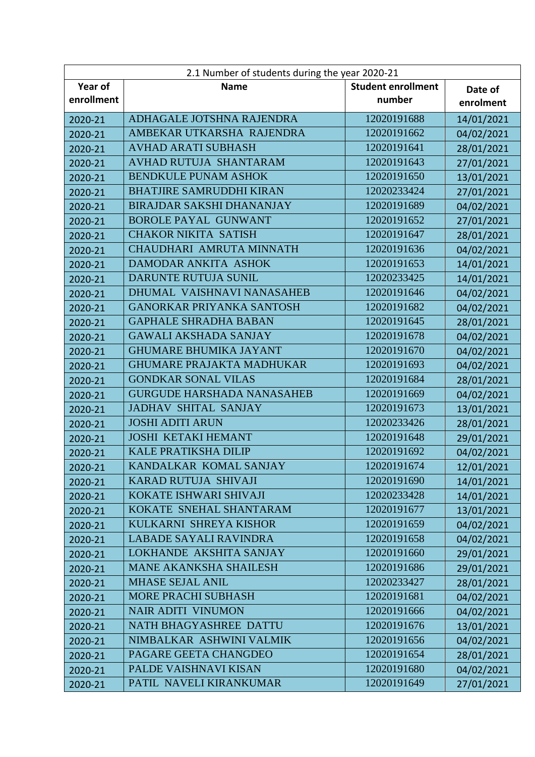| 2.1 Number of students during the year 2020-21 |                                   |                           |            |
|------------------------------------------------|-----------------------------------|---------------------------|------------|
| Year of                                        | <b>Name</b>                       | <b>Student enrollment</b> | Date of    |
| enrollment                                     |                                   | number                    | enrolment  |
| 2020-21                                        | ADHAGALE JOTSHNA RAJENDRA         | 12020191688               | 14/01/2021 |
| 2020-21                                        | AMBEKAR UTKARSHA RAJENDRA         | 12020191662               | 04/02/2021 |
| 2020-21                                        | <b>AVHAD ARATI SUBHASH</b>        | 12020191641               | 28/01/2021 |
| 2020-21                                        | AVHAD RUTUJA SHANTARAM            | 12020191643               | 27/01/2021 |
| 2020-21                                        | <b>BENDKULE PUNAM ASHOK</b>       | 12020191650               | 13/01/2021 |
| 2020-21                                        | <b>BHATJIRE SAMRUDDHI KIRAN</b>   | 12020233424               | 27/01/2021 |
| 2020-21                                        | <b>BIRAJDAR SAKSHI DHANANJAY</b>  | 12020191689               | 04/02/2021 |
| 2020-21                                        | <b>BOROLE PAYAL GUNWANT</b>       | 12020191652               | 27/01/2021 |
| 2020-21                                        | <b>CHAKOR NIKITA SATISH</b>       | 12020191647               | 28/01/2021 |
| 2020-21                                        | CHAUDHARI AMRUTA MINNATH          | 12020191636               | 04/02/2021 |
| 2020-21                                        | DAMODAR ANKITA ASHOK              | 12020191653               | 14/01/2021 |
| 2020-21                                        | DARUNTE RUTUJA SUNIL              | 12020233425               | 14/01/2021 |
| 2020-21                                        | DHUMAL VAISHNAVI NANASAHEB        | 12020191646               | 04/02/2021 |
| 2020-21                                        | <b>GANORKAR PRIYANKA SANTOSH</b>  | 12020191682               | 04/02/2021 |
| 2020-21                                        | <b>GAPHALE SHRADHA BABAN</b>      | 12020191645               | 28/01/2021 |
| 2020-21                                        | <b>GAWALI AKSHADA SANJAY</b>      | 12020191678               | 04/02/2021 |
| 2020-21                                        | <b>GHUMARE BHUMIKA JAYANT</b>     | 12020191670               | 04/02/2021 |
| 2020-21                                        | <b>GHUMARE PRAJAKTA MADHUKAR</b>  | 12020191693               | 04/02/2021 |
| 2020-21                                        | <b>GONDKAR SONAL VILAS</b>        | 12020191684               | 28/01/2021 |
| 2020-21                                        | <b>GURGUDE HARSHADA NANASAHEB</b> | 12020191669               | 04/02/2021 |
| 2020-21                                        | <b>JADHAV SHITAL SANJAY</b>       | 12020191673               | 13/01/2021 |
| 2020-21                                        | <b>JOSHI ADITI ARUN</b>           | 12020233426               | 28/01/2021 |
| 2020-21                                        | <b>JOSHI KETAKI HEMANT</b>        | 12020191648               | 29/01/2021 |
| 2020-21                                        | <b>KALE PRATIKSHA DILIP</b>       | 12020191692               | 04/02/2021 |
| 2020-21                                        | KANDALKAR KOMAL SANJAY            | 12020191674               | 12/01/2021 |
| 2020-21                                        | KARAD RUTUJA SHIVAJI              | 12020191690               | 14/01/2021 |
| 2020-21                                        | KOKATE ISHWARI SHIVAJI            | 12020233428               | 14/01/2021 |
| 2020-21                                        | KOKATE SNEHAL SHANTARAM           | 12020191677               | 13/01/2021 |
| 2020-21                                        | KULKARNI SHREYA KISHOR            | 12020191659               | 04/02/2021 |
| 2020-21                                        | <b>LABADE SAYALI RAVINDRA</b>     | 12020191658               | 04/02/2021 |
| 2020-21                                        | LOKHANDE AKSHITA SANJAY           | 12020191660               | 29/01/2021 |
| 2020-21                                        | <b>MANE AKANKSHA SHAILESH</b>     | 12020191686               | 29/01/2021 |
| 2020-21                                        | <b>MHASE SEJAL ANIL</b>           | 12020233427               | 28/01/2021 |
| 2020-21                                        | MORE PRACHI SUBHASH               | 12020191681               | 04/02/2021 |
| 2020-21                                        | <b>NAIR ADITI VINUMON</b>         | 12020191666               | 04/02/2021 |
| 2020-21                                        | NATH BHAGYASHREE DATTU            | 12020191676               | 13/01/2021 |
| 2020-21                                        | NIMBALKAR ASHWINI VALMIK          | 12020191656               | 04/02/2021 |
| 2020-21                                        | PAGARE GEETA CHANGDEO             | 12020191654               | 28/01/2021 |
| 2020-21                                        | PALDE VAISHNAVI KISAN             | 12020191680               | 04/02/2021 |
| 2020-21                                        | PATIL NAVELI KIRANKUMAR           | 12020191649               | 27/01/2021 |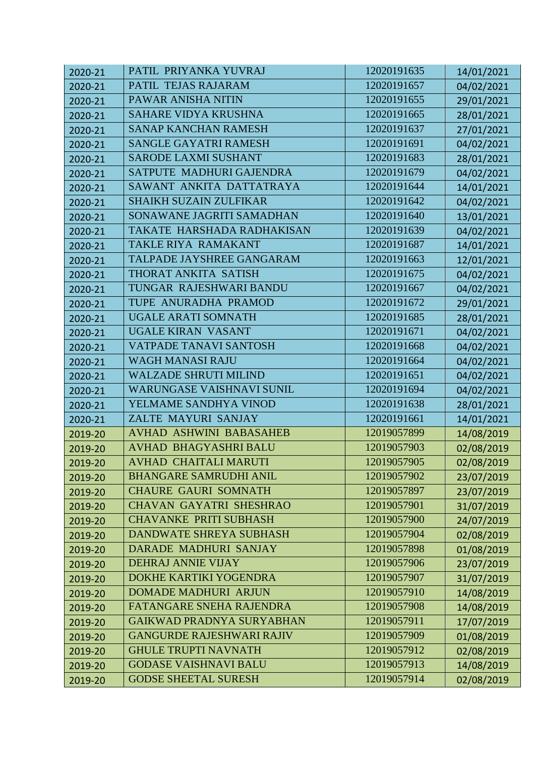| 2020-21 | PATIL PRIYANKA YUVRAJ            | 12020191635 | 14/01/2021 |
|---------|----------------------------------|-------------|------------|
| 2020-21 | PATIL TEJAS RAJARAM              | 12020191657 | 04/02/2021 |
| 2020-21 | PAWAR ANISHA NITIN               | 12020191655 | 29/01/2021 |
| 2020-21 | <b>SAHARE VIDYA KRUSHNA</b>      | 12020191665 | 28/01/2021 |
| 2020-21 | <b>SANAP KANCHAN RAMESH</b>      | 12020191637 | 27/01/2021 |
| 2020-21 | SANGLE GAYATRI RAMESH            | 12020191691 | 04/02/2021 |
| 2020-21 | <b>SARODE LAXMI SUSHANT</b>      | 12020191683 | 28/01/2021 |
| 2020-21 | SATPUTE MADHURI GAJENDRA         | 12020191679 | 04/02/2021 |
| 2020-21 | SAWANT ANKITA DATTATRAYA         | 12020191644 | 14/01/2021 |
| 2020-21 | <b>SHAIKH SUZAIN ZULFIKAR</b>    | 12020191642 | 04/02/2021 |
| 2020-21 | SONAWANE JAGRITI SAMADHAN        | 12020191640 | 13/01/2021 |
| 2020-21 | TAKATE HARSHADA RADHAKISAN       | 12020191639 | 04/02/2021 |
| 2020-21 | TAKLE RIYA RAMAKANT              | 12020191687 | 14/01/2021 |
| 2020-21 | TALPADE JAYSHREE GANGARAM        | 12020191663 | 12/01/2021 |
| 2020-21 | THORAT ANKITA SATISH             | 12020191675 | 04/02/2021 |
| 2020-21 | TUNGAR RAJESHWARI BANDU          | 12020191667 | 04/02/2021 |
| 2020-21 | TUPE ANURADHA PRAMOD             | 12020191672 | 29/01/2021 |
| 2020-21 | <b>UGALE ARATI SOMNATH</b>       | 12020191685 | 28/01/2021 |
| 2020-21 | UGALE KIRAN VASANT               | 12020191671 | 04/02/2021 |
| 2020-21 | VATPADE TANAVI SANTOSH           | 12020191668 | 04/02/2021 |
| 2020-21 | <b>WAGH MANASI RAJU</b>          | 12020191664 | 04/02/2021 |
| 2020-21 | <b>WALZADE SHRUTI MILIND</b>     | 12020191651 | 04/02/2021 |
| 2020-21 | WARUNGASE VAISHNAVI SUNIL        | 12020191694 | 04/02/2021 |
| 2020-21 | YELMAME SANDHYA VINOD            | 12020191638 | 28/01/2021 |
| 2020-21 | ZALTE MAYURI SANJAY              | 12020191661 | 14/01/2021 |
| 2019-20 | <b>AVHAD ASHWINI BABASAHEB</b>   | 12019057899 | 14/08/2019 |
| 2019-20 | <b>AVHAD BHAGYASHRI BALU</b>     | 12019057903 | 02/08/2019 |
| 2019-20 | <b>AVHAD CHAITALI MARUTI</b>     | 12019057905 | 02/08/2019 |
| 2019-20 | <b>BHANGARE SAMRUDHI ANIL</b>    | 12019057902 | 23/07/2019 |
| 2019-20 | <b>CHAURE GAURI SOMNATH</b>      | 12019057897 | 23/07/2019 |
| 2019-20 | <b>CHAVAN GAYATRI SHESHRAO</b>   | 12019057901 | 31/07/2019 |
| 2019-20 | <b>CHAVANKE PRITI SUBHASH</b>    | 12019057900 | 24/07/2019 |
| 2019-20 | <b>DANDWATE SHREYA SUBHASH</b>   | 12019057904 | 02/08/2019 |
| 2019-20 | <b>DARADE MADHURI SANJAY</b>     | 12019057898 | 01/08/2019 |
| 2019-20 | DEHRAJ ANNIE VIJAY               | 12019057906 | 23/07/2019 |
| 2019-20 | DOKHE KARTIKI YOGENDRA           | 12019057907 | 31/07/2019 |
| 2019-20 | <b>DOMADE MADHURI ARJUN</b>      | 12019057910 | 14/08/2019 |
| 2019-20 | FATANGARE SNEHA RAJENDRA         | 12019057908 | 14/08/2019 |
| 2019-20 | <b>GAIKWAD PRADNYA SURYABHAN</b> | 12019057911 | 17/07/2019 |
| 2019-20 | <b>GANGURDE RAJESHWARI RAJIV</b> | 12019057909 | 01/08/2019 |
| 2019-20 | <b>GHULE TRUPTI NAVNATH</b>      | 12019057912 | 02/08/2019 |
| 2019-20 | <b>GODASE VAISHNAVI BALU</b>     | 12019057913 | 14/08/2019 |
| 2019-20 | <b>GODSE SHEETAL SURESH</b>      | 12019057914 | 02/08/2019 |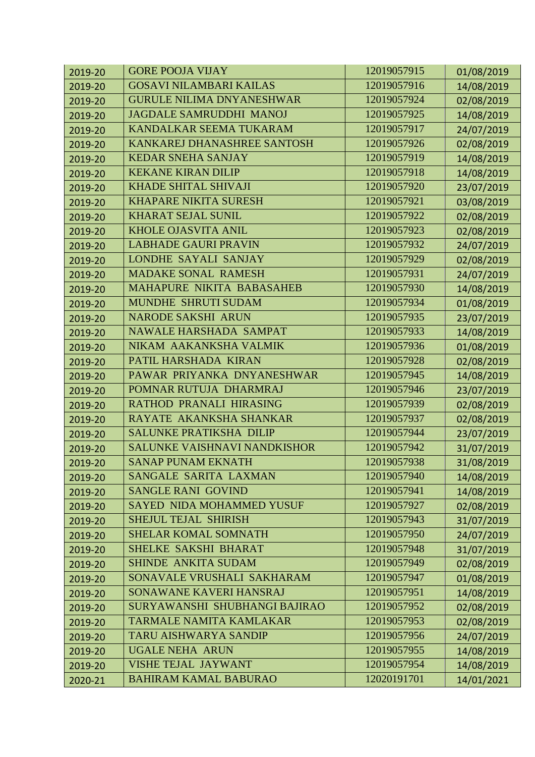| 2019-20 | <b>GORE POOJA VIJAY</b>             | 12019057915 | 01/08/2019 |
|---------|-------------------------------------|-------------|------------|
| 2019-20 | <b>GOSAVI NILAMBARI KAILAS</b>      | 12019057916 | 14/08/2019 |
| 2019-20 | <b>GURULE NILIMA DNYANESHWAR</b>    | 12019057924 | 02/08/2019 |
| 2019-20 | <b>JAGDALE SAMRUDDHI MANOJ</b>      | 12019057925 | 14/08/2019 |
| 2019-20 | KANDALKAR SEEMA TUKARAM             | 12019057917 | 24/07/2019 |
| 2019-20 | KANKAREJ DHANASHREE SANTOSH         | 12019057926 | 02/08/2019 |
| 2019-20 | <b>KEDAR SNEHA SANJAY</b>           | 12019057919 | 14/08/2019 |
| 2019-20 | <b>KEKANE KIRAN DILIP</b>           | 12019057918 | 14/08/2019 |
| 2019-20 | <b>KHADE SHITAL SHIVAJI</b>         | 12019057920 | 23/07/2019 |
| 2019-20 | <b>KHAPARE NIKITA SURESH</b>        | 12019057921 | 03/08/2019 |
| 2019-20 | <b>KHARAT SEJAL SUNIL</b>           | 12019057922 | 02/08/2019 |
| 2019-20 | <b>KHOLE OJASVITA ANIL</b>          | 12019057923 | 02/08/2019 |
| 2019-20 | <b>LABHADE GAURI PRAVIN</b>         | 12019057932 | 24/07/2019 |
| 2019-20 | LONDHE SAYALI SANJAY                | 12019057929 | 02/08/2019 |
| 2019-20 | <b>MADAKE SONAL RAMESH</b>          | 12019057931 | 24/07/2019 |
| 2019-20 | MAHAPURE NIKITA BABASAHEB           | 12019057930 | 14/08/2019 |
| 2019-20 | MUNDHE SHRUTI SUDAM                 | 12019057934 | 01/08/2019 |
| 2019-20 | <b>NARODE SAKSHI ARUN</b>           | 12019057935 | 23/07/2019 |
| 2019-20 | NAWALE HARSHADA SAMPAT              | 12019057933 | 14/08/2019 |
| 2019-20 | NIKAM AAKANKSHA VALMIK              | 12019057936 | 01/08/2019 |
| 2019-20 | PATIL HARSHADA KIRAN                | 12019057928 | 02/08/2019 |
| 2019-20 | PAWAR PRIYANKA DNYANESHWAR          | 12019057945 | 14/08/2019 |
| 2019-20 | POMNAR RUTUJA DHARMRAJ              | 12019057946 | 23/07/2019 |
| 2019-20 | RATHOD PRANALI HIRASING             | 12019057939 | 02/08/2019 |
| 2019-20 | RAYATE AKANKSHA SHANKAR             | 12019057937 | 02/08/2019 |
| 2019-20 | <b>SALUNKE PRATIKSHA DILIP</b>      | 12019057944 | 23/07/2019 |
| 2019-20 | <b>SALUNKE VAISHNAVI NANDKISHOR</b> | 12019057942 | 31/07/2019 |
| 2019-20 | <b>SANAP PUNAM EKNATH</b>           | 12019057938 | 31/08/2019 |
| 2019-20 | SANGALE SARITA LAXMAN               | 12019057940 | 14/08/2019 |
| 2019-20 | <b>SANGLE RANI GOVIND</b>           | 12019057941 | 14/08/2019 |
| 2019-20 | <b>SAYED NIDA MOHAMMED YUSUF</b>    | 12019057927 | 02/08/2019 |
| 2019-20 | <b>SHEJUL TEJAL SHIRISH</b>         | 12019057943 | 31/07/2019 |
| 2019-20 | <b>SHELAR KOMAL SOMNATH</b>         | 12019057950 | 24/07/2019 |
| 2019-20 | SHELKE SAKSHI BHARAT                | 12019057948 | 31/07/2019 |
| 2019-20 | <b>SHINDE ANKITA SUDAM</b>          | 12019057949 | 02/08/2019 |
| 2019-20 | SONAVALE VRUSHALI SAKHARAM          | 12019057947 | 01/08/2019 |
| 2019-20 | SONAWANE KAVERI HANSRAJ             | 12019057951 | 14/08/2019 |
| 2019-20 | SURYAWANSHI SHUBHANGI BAJIRAO       | 12019057952 | 02/08/2019 |
| 2019-20 | <b>TARMALE NAMITA KAMLAKAR</b>      | 12019057953 | 02/08/2019 |
| 2019-20 | <b>TARU AISHWARYA SANDIP</b>        | 12019057956 | 24/07/2019 |
| 2019-20 | <b>UGALE NEHA ARUN</b>              | 12019057955 | 14/08/2019 |
| 2019-20 | <b>VISHE TEJAL JAYWANT</b>          | 12019057954 | 14/08/2019 |
| 2020-21 | <b>BAHIRAM KAMAL BABURAO</b>        | 12020191701 | 14/01/2021 |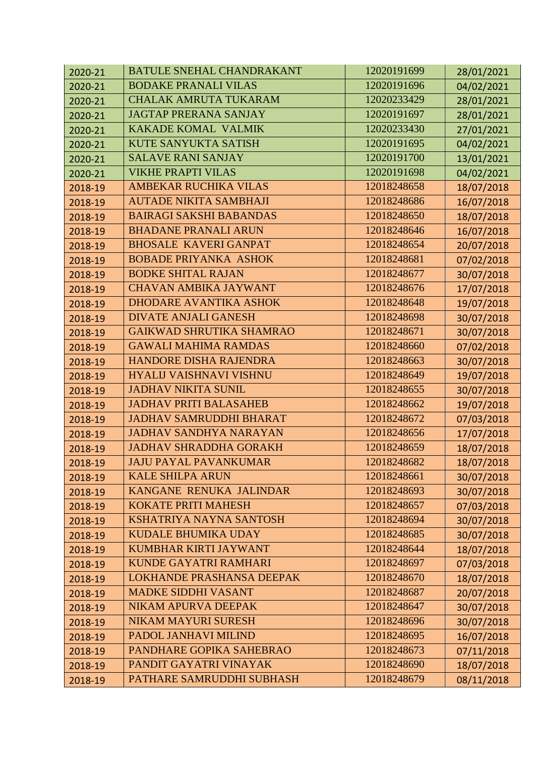| 2020-21 | <b>BATULE SNEHAL CHANDRAKANT</b> | 12020191699 | 28/01/2021 |
|---------|----------------------------------|-------------|------------|
| 2020-21 | <b>BODAKE PRANALI VILAS</b>      | 12020191696 | 04/02/2021 |
| 2020-21 | <b>CHALAK AMRUTA TUKARAM</b>     | 12020233429 | 28/01/2021 |
| 2020-21 | <b>JAGTAP PRERANA SANJAY</b>     | 12020191697 | 28/01/2021 |
| 2020-21 | <b>KAKADE KOMAL VALMIK</b>       | 12020233430 | 27/01/2021 |
| 2020-21 | <b>KUTE SANYUKTA SATISH</b>      | 12020191695 | 04/02/2021 |
| 2020-21 | <b>SALAVE RANI SANJAY</b>        | 12020191700 | 13/01/2021 |
| 2020-21 | <b>VIKHE PRAPTI VILAS</b>        | 12020191698 | 04/02/2021 |
| 2018-19 | <b>AMBEKAR RUCHIKA VILAS</b>     | 12018248658 | 18/07/2018 |
| 2018-19 | <b>AUTADE NIKITA SAMBHAJI</b>    | 12018248686 | 16/07/2018 |
| 2018-19 | <b>BAIRAGI SAKSHI BABANDAS</b>   | 12018248650 | 18/07/2018 |
| 2018-19 | <b>BHADANE PRANALI ARUN</b>      | 12018248646 | 16/07/2018 |
| 2018-19 | <b>BHOSALE KAVERI GANPAT</b>     | 12018248654 | 20/07/2018 |
| 2018-19 | <b>BOBADE PRIYANKA ASHOK</b>     | 12018248681 | 07/02/2018 |
| 2018-19 | <b>BODKE SHITAL RAJAN</b>        | 12018248677 | 30/07/2018 |
| 2018-19 | <b>CHAVAN AMBIKA JAYWANT</b>     | 12018248676 | 17/07/2018 |
| 2018-19 | <b>DHODARE AVANTIKA ASHOK</b>    | 12018248648 | 19/07/2018 |
| 2018-19 | <b>DIVATE ANJALI GANESH</b>      | 12018248698 | 30/07/2018 |
| 2018-19 | <b>GAIKWAD SHRUTIKA SHAMRAO</b>  | 12018248671 | 30/07/2018 |
| 2018-19 | <b>GAWALI MAHIMA RAMDAS</b>      | 12018248660 | 07/02/2018 |
| 2018-19 | HANDORE DISHA RAJENDRA           | 12018248663 | 30/07/2018 |
| 2018-19 | HYALIJ VAISHNAVI VISHNU          | 12018248649 | 19/07/2018 |
| 2018-19 | <b>JADHAV NIKITA SUNIL</b>       | 12018248655 | 30/07/2018 |
| 2018-19 | <b>JADHAV PRITI BALASAHEB</b>    | 12018248662 | 19/07/2018 |
| 2018-19 | <b>JADHAV SAMRUDDHI BHARAT</b>   | 12018248672 | 07/03/2018 |
| 2018-19 | <b>JADHAV SANDHYA NARAYAN</b>    | 12018248656 | 17/07/2018 |
| 2018-19 | <b>JADHAV SHRADDHA GORAKH</b>    | 12018248659 | 18/07/2018 |
| 2018-19 | <b>JAJU PAYAL PAVANKUMAR</b>     | 12018248682 | 18/07/2018 |
| 2018-19 | <b>KALE SHILPA ARUN</b>          | 12018248661 | 30/07/2018 |
| 2018-19 | KANGANE RENUKA JALINDAR          | 12018248693 | 30/07/2018 |
| 2018-19 | <b>KOKATE PRITI MAHESH</b>       | 12018248657 | 07/03/2018 |
| 2018-19 | <b>KSHATRIYA NAYNA SANTOSH</b>   | 12018248694 | 30/07/2018 |
| 2018-19 | <b>KUDALE BHUMIKA UDAY</b>       | 12018248685 | 30/07/2018 |
| 2018-19 | KUMBHAR KIRTI JAYWANT            | 12018248644 | 18/07/2018 |
| 2018-19 | KUNDE GAYATRI RAMHARI            | 12018248697 | 07/03/2018 |
| 2018-19 | <b>LOKHANDE PRASHANSA DEEPAK</b> | 12018248670 | 18/07/2018 |
| 2018-19 | <b>MADKE SIDDHI VASANT</b>       | 12018248687 | 20/07/2018 |
| 2018-19 | <b>NIKAM APURVA DEEPAK</b>       | 12018248647 | 30/07/2018 |
| 2018-19 | <b>NIKAM MAYURI SURESH</b>       | 12018248696 | 30/07/2018 |
| 2018-19 | PADOL JANHAVI MILIND             | 12018248695 | 16/07/2018 |
| 2018-19 | PANDHARE GOPIKA SAHEBRAO         | 12018248673 | 07/11/2018 |
| 2018-19 | PANDIT GAYATRI VINAYAK           | 12018248690 | 18/07/2018 |
| 2018-19 | PATHARE SAMRUDDHI SUBHASH        | 12018248679 | 08/11/2018 |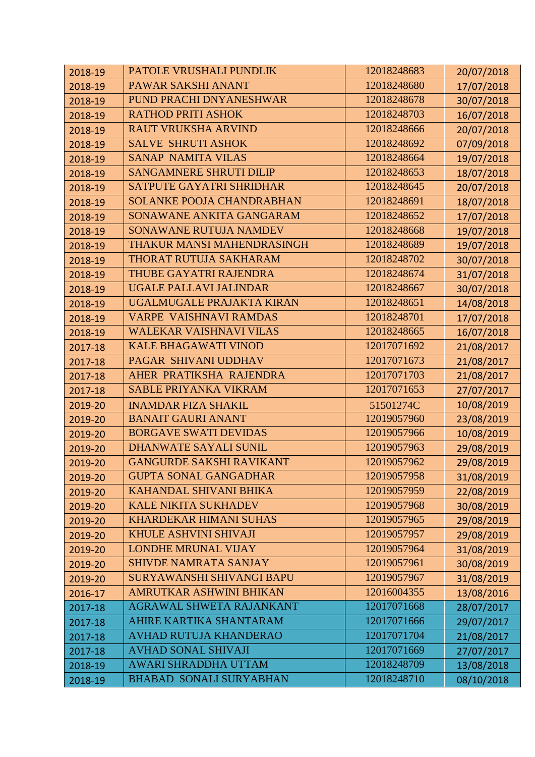| 2018-19 | PATOLE VRUSHALI PUNDLIK          | 12018248683 | 20/07/2018 |
|---------|----------------------------------|-------------|------------|
| 2018-19 | PAWAR SAKSHI ANANT               | 12018248680 | 17/07/2018 |
| 2018-19 | PUND PRACHI DNYANESHWAR          | 12018248678 | 30/07/2018 |
| 2018-19 | <b>RATHOD PRITI ASHOK</b>        | 12018248703 | 16/07/2018 |
| 2018-19 | <b>RAUT VRUKSHA ARVIND</b>       | 12018248666 | 20/07/2018 |
| 2018-19 | <b>SALVE SHRUTI ASHOK</b>        | 12018248692 | 07/09/2018 |
| 2018-19 | <b>SANAP NAMITA VILAS</b>        | 12018248664 | 19/07/2018 |
| 2018-19 | <b>SANGAMNERE SHRUTI DILIP</b>   | 12018248653 | 18/07/2018 |
| 2018-19 | <b>SATPUTE GAYATRI SHRIDHAR</b>  | 12018248645 | 20/07/2018 |
| 2018-19 | <b>SOLANKE POOJA CHANDRABHAN</b> | 12018248691 | 18/07/2018 |
| 2018-19 | SONAWANE ANKITA GANGARAM         | 12018248652 | 17/07/2018 |
| 2018-19 | SONAWANE RUTUJA NAMDEV           | 12018248668 | 19/07/2018 |
| 2018-19 | THAKUR MANSI MAHENDRASINGH       | 12018248689 | 19/07/2018 |
| 2018-19 | THORAT RUTUJA SAKHARAM           | 12018248702 | 30/07/2018 |
| 2018-19 | THUBE GAYATRI RAJENDRA           | 12018248674 | 31/07/2018 |
| 2018-19 | UGALE PALLAVI JALINDAR           | 12018248667 | 30/07/2018 |
| 2018-19 | UGALMUGALE PRAJAKTA KIRAN        | 12018248651 | 14/08/2018 |
| 2018-19 | <b>VARPE VAISHNAVI RAMDAS</b>    | 12018248701 | 17/07/2018 |
| 2018-19 | <b>WALEKAR VAISHNAVI VILAS</b>   | 12018248665 | 16/07/2018 |
| 2017-18 | <b>KALE BHAGAWATI VINOD</b>      | 12017071692 | 21/08/2017 |
| 2017-18 | PAGAR SHIVANI UDDHAV             | 12017071673 | 21/08/2017 |
| 2017-18 | AHER PRATIKSHA RAJENDRA          | 12017071703 | 21/08/2017 |
| 2017-18 | <b>SABLE PRIYANKA VIKRAM</b>     | 12017071653 | 27/07/2017 |
| 2019-20 | <b>INAMDAR FIZA SHAKIL</b>       | 51501274C   | 10/08/2019 |
| 2019-20 | <b>BANAIT GAURI ANANT</b>        | 12019057960 | 23/08/2019 |
| 2019-20 | <b>BORGAVE SWATI DEVIDAS</b>     | 12019057966 | 10/08/2019 |
| 2019-20 | <b>DHANWATE SAYALI SUNIL</b>     | 12019057963 | 29/08/2019 |
| 2019-20 | <b>GANGURDE SAKSHI RAVIKANT</b>  | 12019057962 | 29/08/2019 |
| 2019-20 | <b>GUPTA SONAL GANGADHAR</b>     | 12019057958 | 31/08/2019 |
| 2019-20 | KAHANDAL SHIVANI BHIKA           | 12019057959 | 22/08/2019 |
| 2019-20 | <b>KALE NIKITA SUKHADEV</b>      | 12019057968 | 30/08/2019 |
| 2019-20 | <b>KHARDEKAR HIMANI SUHAS</b>    | 12019057965 | 29/08/2019 |
| 2019-20 | <b>KHULE ASHVINI SHIVAJI</b>     | 12019057957 | 29/08/2019 |
| 2019-20 | <b>LONDHE MRUNAL VIJAY</b>       | 12019057964 | 31/08/2019 |
| 2019-20 | <b>SHIVDE NAMRATA SANJAY</b>     | 12019057961 | 30/08/2019 |
| 2019-20 | <b>SURYAWANSHI SHIVANGI BAPU</b> | 12019057967 | 31/08/2019 |
| 2016-17 | AMRUTKAR ASHWINI BHIKAN          | 12016004355 | 13/08/2016 |
| 2017-18 | AGRAWAL SHWETA RAJANKANT         | 12017071668 | 28/07/2017 |
| 2017-18 | AHIRE KARTIKA SHANTARAM          | 12017071666 | 29/07/2017 |
| 2017-18 | <b>AVHAD RUTUJA KHANDERAO</b>    | 12017071704 | 21/08/2017 |
| 2017-18 | <b>AVHAD SONAL SHIVAJI</b>       | 12017071669 | 27/07/2017 |
| 2018-19 | <b>AWARI SHRADDHA UTTAM</b>      | 12018248709 | 13/08/2018 |
| 2018-19 | <b>BHABAD SONALI SURYABHAN</b>   | 12018248710 | 08/10/2018 |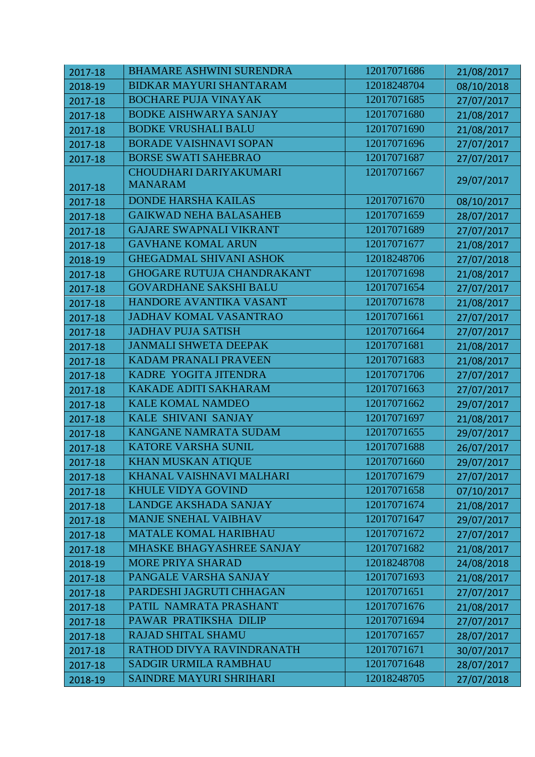| 2017-18 | <b>BHAMARE ASHWINI SURENDRA</b>   | 12017071686 | 21/08/2017 |
|---------|-----------------------------------|-------------|------------|
| 2018-19 | <b>BIDKAR MAYURI SHANTARAM</b>    | 12018248704 | 08/10/2018 |
| 2017-18 | <b>BOCHARE PUJA VINAYAK</b>       | 12017071685 | 27/07/2017 |
| 2017-18 | <b>BODKE AISHWARYA SANJAY</b>     | 12017071680 | 21/08/2017 |
| 2017-18 | <b>BODKE VRUSHALI BALU</b>        | 12017071690 | 21/08/2017 |
| 2017-18 | <b>BORADE VAISHNAVI SOPAN</b>     | 12017071696 | 27/07/2017 |
| 2017-18 | <b>BORSE SWATI SAHEBRAO</b>       | 12017071687 | 27/07/2017 |
|         | CHOUDHARI DARIYAKUMARI            | 12017071667 |            |
| 2017-18 | <b>MANARAM</b>                    |             | 29/07/2017 |
| 2017-18 | <b>DONDE HARSHA KAILAS</b>        | 12017071670 | 08/10/2017 |
| 2017-18 | <b>GAIKWAD NEHA BALASAHEB</b>     | 12017071659 | 28/07/2017 |
| 2017-18 | <b>GAJARE SWAPNALI VIKRANT</b>    | 12017071689 | 27/07/2017 |
| 2017-18 | <b>GAVHANE KOMAL ARUN</b>         | 12017071677 | 21/08/2017 |
| 2018-19 | <b>GHEGADMAL SHIVANI ASHOK</b>    | 12018248706 | 27/07/2018 |
| 2017-18 | <b>GHOGARE RUTUJA CHANDRAKANT</b> | 12017071698 | 21/08/2017 |
| 2017-18 | <b>GOVARDHANE SAKSHI BALU</b>     | 12017071654 | 27/07/2017 |
| 2017-18 | HANDORE AVANTIKA VASANT           | 12017071678 | 21/08/2017 |
| 2017-18 | <b>JADHAV KOMAL VASANTRAO</b>     | 12017071661 | 27/07/2017 |
| 2017-18 | <b>JADHAV PUJA SATISH</b>         | 12017071664 | 27/07/2017 |
| 2017-18 | <b>JANMALI SHWETA DEEPAK</b>      | 12017071681 | 21/08/2017 |
| 2017-18 | <b>KADAM PRANALI PRAVEEN</b>      | 12017071683 | 21/08/2017 |
| 2017-18 | KADRE YOGITA JITENDRA             | 12017071706 | 27/07/2017 |
| 2017-18 | <b>KAKADE ADITI SAKHARAM</b>      | 12017071663 | 27/07/2017 |
| 2017-18 | <b>KALE KOMAL NAMDEO</b>          | 12017071662 | 29/07/2017 |
| 2017-18 | KALE SHIVANI SANJAY               | 12017071697 | 21/08/2017 |
| 2017-18 | KANGANE NAMRATA SUDAM             | 12017071655 | 29/07/2017 |
| 2017-18 | KATORE VARSHA SUNIL               | 12017071688 | 26/07/2017 |
| 2017-18 | <b>KHAN MUSKAN ATIQUE</b>         | 12017071660 | 29/07/2017 |
| 2017-18 | KHANAL VAISHNAVI MALHARI          | 12017071679 | 27/07/2017 |
| 2017-18 | <b>KHULE VIDYA GOVIND</b>         | 12017071658 | 07/10/2017 |
| 2017-18 | <b>LANDGE AKSHADA SANJAY</b>      | 12017071674 | 21/08/2017 |
| 2017-18 | <b>MANJE SNEHAL VAIBHAV</b>       | 12017071647 | 29/07/2017 |
| 2017-18 | <b>MATALE KOMAL HARIBHAU</b>      | 12017071672 | 27/07/2017 |
| 2017-18 | MHASKE BHAGYASHREE SANJAY         | 12017071682 | 21/08/2017 |
| 2018-19 | <b>MORE PRIYA SHARAD</b>          | 12018248708 | 24/08/2018 |
| 2017-18 | PANGALE VARSHA SANJAY             | 12017071693 | 21/08/2017 |
| 2017-18 | PARDESHI JAGRUTI CHHAGAN          | 12017071651 | 27/07/2017 |
| 2017-18 | PATIL NAMRATA PRASHANT            | 12017071676 | 21/08/2017 |
| 2017-18 | PAWAR PRATIKSHA DILIP             | 12017071694 | 27/07/2017 |
| 2017-18 | <b>RAJAD SHITAL SHAMU</b>         | 12017071657 | 28/07/2017 |
| 2017-18 | RATHOD DIVYA RAVINDRANATH         | 12017071671 | 30/07/2017 |
| 2017-18 | <b>SADGIR URMILA RAMBHAU</b>      | 12017071648 | 28/07/2017 |
| 2018-19 | <b>SAINDRE MAYURI SHRIHARI</b>    | 12018248705 | 27/07/2018 |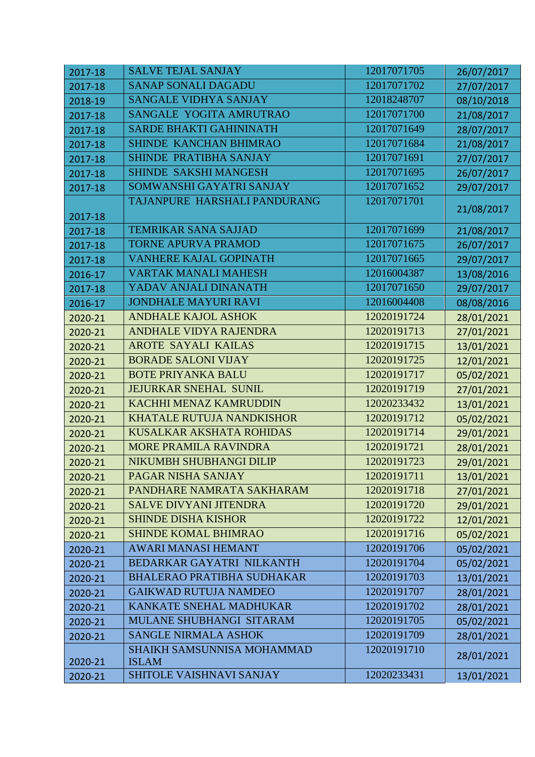| 2017-18 | <b>SALVE TEJAL SANJAY</b>                  | 12017071705 | 26/07/2017 |
|---------|--------------------------------------------|-------------|------------|
| 2017-18 | <b>SANAP SONALI DAGADU</b>                 | 12017071702 | 27/07/2017 |
| 2018-19 | SANGALE VIDHYA SANJAY                      | 12018248707 | 08/10/2018 |
| 2017-18 | SANGALE YOGITA AMRUTRAO                    | 12017071700 | 21/08/2017 |
| 2017-18 | <b>SARDE BHAKTI GAHININATH</b>             | 12017071649 | 28/07/2017 |
| 2017-18 | SHINDE KANCHAN BHIMRAO                     | 12017071684 | 21/08/2017 |
| 2017-18 | SHINDE PRATIBHA SANJAY                     | 12017071691 | 27/07/2017 |
| 2017-18 | SHINDE SAKSHI MANGESH                      | 12017071695 | 26/07/2017 |
| 2017-18 | SOMWANSHI GAYATRI SANJAY                   | 12017071652 | 29/07/2017 |
| 2017-18 | TAJANPURE HARSHALI PANDURANG               | 12017071701 | 21/08/2017 |
| 2017-18 | <b>TEMRIKAR SANA SAJJAD</b>                | 12017071699 | 21/08/2017 |
| 2017-18 | <b>TORNE APURVA PRAMOD</b>                 | 12017071675 | 26/07/2017 |
| 2017-18 | <b>VANHERE KAJAL GOPINATH</b>              | 12017071665 | 29/07/2017 |
| 2016-17 | <b>VARTAK MANALI MAHESH</b>                | 12016004387 | 13/08/2016 |
| 2017-18 | YADAV ANJALI DINANATH                      | 12017071650 | 29/07/2017 |
| 2016-17 | <b>JONDHALE MAYURI RAVI</b>                | 12016004408 | 08/08/2016 |
| 2020-21 | <b>ANDHALE KAJOL ASHOK</b>                 | 12020191724 | 28/01/2021 |
| 2020-21 | <b>ANDHALE VIDYA RAJENDRA</b>              | 12020191713 | 27/01/2021 |
| 2020-21 | <b>AROTE SAYALI KAILAS</b>                 | 12020191715 | 13/01/2021 |
| 2020-21 | <b>BORADE SALONI VIJAY</b>                 | 12020191725 | 12/01/2021 |
| 2020-21 | <b>BOTE PRIYANKA BALU</b>                  | 12020191717 | 05/02/2021 |
| 2020-21 | <b>JEJURKAR SNEHAL SUNIL</b>               | 12020191719 | 27/01/2021 |
| 2020-21 | <b>KACHHI MENAZ KAMRUDDIN</b>              | 12020233432 | 13/01/2021 |
| 2020-21 | <b>KHATALE RUTUJA NANDKISHOR</b>           | 12020191712 | 05/02/2021 |
| 2020-21 | <b>KUSALKAR AKSHATA ROHIDAS</b>            | 12020191714 | 29/01/2021 |
| 2020-21 | <b>MORE PRAMILA RAVINDRA</b>               | 12020191721 | 28/01/2021 |
| 2020-21 | NIKUMBH SHUBHANGI DILIP                    | 12020191723 | 29/01/2021 |
| 2020-21 | PAGAR NISHA SANJAY                         | 12020191711 | 13/01/2021 |
| 2020-21 | PANDHARE NAMRATA SAKHARAM                  | 12020191718 | 27/01/2021 |
| 2020-21 | <b>SALVE DIVYANI JITENDRA</b>              | 12020191720 | 29/01/2021 |
| 2020-21 | <b>SHINDE DISHA KISHOR</b>                 | 12020191722 | 12/01/2021 |
| 2020-21 | <b>SHINDE KOMAL BHIMRAO</b>                | 12020191716 | 05/02/2021 |
| 2020-21 | <b>AWARI MANASI HEMANT</b>                 | 12020191706 | 05/02/2021 |
| 2020-21 | <b>BEDARKAR GAYATRI NILKANTH</b>           | 12020191704 | 05/02/2021 |
| 2020-21 | <b>BHALERAO PRATIBHA SUDHAKAR</b>          | 12020191703 | 13/01/2021 |
| 2020-21 | <b>GAIKWAD RUTUJA NAMDEO</b>               | 12020191707 | 28/01/2021 |
| 2020-21 | KANKATE SNEHAL MADHUKAR                    | 12020191702 | 28/01/2021 |
| 2020-21 | MULANE SHUBHANGI SITARAM                   | 12020191705 | 05/02/2021 |
| 2020-21 | <b>SANGLE NIRMALA ASHOK</b>                | 12020191709 | 28/01/2021 |
| 2020-21 | SHAIKH SAMSUNNISA MOHAMMAD<br><b>ISLAM</b> | 12020191710 | 28/01/2021 |
| 2020-21 | SHITOLE VAISHNAVI SANJAY                   | 12020233431 | 13/01/2021 |